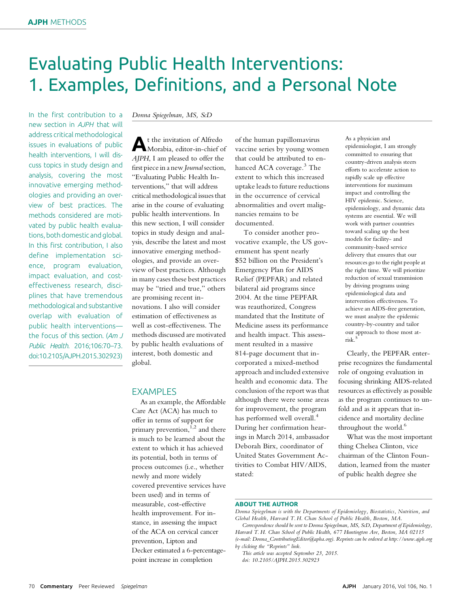# Evaluating Public Health Interventions: 1. Examples, Definitions, and a Personal Note

In the first contribution to a new section in AJPH that will address critical methodological issues in evaluations of public health interventions, I will discuss topics in study design and analysis, covering the most innovative emerging methodologies and providing an overview of best practices. The methods considered are motivated by public health evaluations, both domestic and global. In this first contribution, I also define implementation science, program evaluation, impact evaluation, and costeffectiveness research, disciplines that have tremendous methodological and substantive overlap with evaluation of public health interventions the focus of this section. (Am J Public Health. 2016;106:70–73. doi:10.2105/AJPH.2015.302923)

#### Donna Spiegelman, MS, ScD

At the invitation of Alfredo Morabia, editor-in-chief of AJPH, I am pleased to offer the first piece in a new Journal section, "Evaluating Public Health Interventions," that will address critical methodological issues that arise in the course of evaluating public health interventions. In this new section, I will consider topics in study design and analysis, describe the latest and most innovative emerging methodologies, and provide an overview of best practices. Although in many cases these best practices may be "tried and true," others are promising recent innovations. I also will consider estimation of effectiveness as well as cost-effectiveness. The methods discussed are motivated by public health evaluations of interest, both domestic and global.

# **FXAMPLES**

As an example, the Affordable Care Act (ACA) has much to offer in terms of support for primary prevention, $1,2$  and there is much to be learned about the extent to which it has achieved its potential, both in terms of process outcomes (i.e., whether newly and more widely covered preventive services have been used) and in terms of measurable, cost-effective health improvement. For instance, in assessing the impact of the ACA on cervical cancer prevention, Lipton and Decker estimated a 6-percentagepoint increase in completion

of the human papillomavirus vaccine series by young women that could be attributed to enhanced ACA coverage.<sup>3</sup> The extent to which this increased uptake leads to future reductions in the occurrence of cervical abnormalities and overt malignancies remains to be documented.

To consider another provocative example, the US government has spent nearly \$52 billion on the President's Emergency Plan for AIDS Relief (PEPFAR) and related bilateral aid programs since 2004. At the time PEPFAR was reauthorized, Congress mandated that the Institute of Medicine assess its performance and health impact. This assessment resulted in a massive 814-page document that incorporated a mixed-method approach and included extensive health and economic data. The conclusion of the report was that although there were some areas for improvement, the program has performed well overall.<sup>4</sup> During her confirmation hearings in March 2014, ambassador Deborah Birx, coordinator of United States Government Activities to Combat HIV/AIDS, stated:

As a physician and epidemiologist, I am strongly committed to ensuring that country-driven analysis steers efforts to accelerate action to rapidly scale up effective interventions for maximum impact and controlling the HIV epidemic. Science, epidemiology, and dynamic data systems are essential. We will work with partner countries toward scaling up the best models for facility- and community-based service delivery that ensures that our resources go to the right people at the right time. We will prioritize reduction of sexual transmission by driving programs using epidemiological data and intervention effectiveness. To achieve an AIDS-free generation, we must analyze the epidemic country-by-country and tailor our approach to those most atrisk.

Clearly, the PEPFAR enterprise recognizes the fundamental role of ongoing evaluation in focusing shrinking AIDS-related resources as effectively as possible as the program continues to unfold and as it appears that incidence and mortality decline throughout the world.<sup>6</sup>

What was the most important thing Chelsea Clinton, vice chairman of the Clinton Foundation, learned from the master of public health degree she

#### ABOUT THE AUTHOR

Donna Spiegelman is with the Departments of Epidemiology, Biostatistics, Nutrition, and Global Health, Harvard T. H. Chan School of Public Health, Boston, MA.

Correspondence should be sent to Donna Spiegelman, MS, ScD, Department of Epidemiology, Harvard T. H. Chan School of Public Health, 677 Huntington Ave, Boston, MA 02115 (e-mail: [Donna\\_ContributingEditor@apha.org](mailto:Donna_ContributingEditor@apha.org)). Reprints can be ordered at<http://www.ajph.org> by clicking the "Reprints" link.

This article was accepted September 23, 2015. doi: 10.2105/AJPH.2015.302923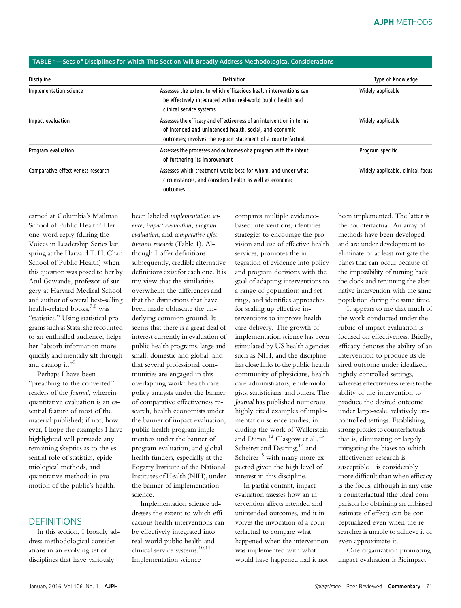| <b>Discipline</b>                  | <b>Definition</b>                                                                                                                                                                               | Type of Knowledge                 |
|------------------------------------|-------------------------------------------------------------------------------------------------------------------------------------------------------------------------------------------------|-----------------------------------|
| Implementation science             | Assesses the extent to which efficacious health interventions can<br>be effectively integrated within real-world public health and<br>clinical service systems                                  | Widely applicable                 |
| Impact evaluation                  | Assesses the efficacy and effectiveness of an intervention in terms<br>of intended and unintended health, social, and economic<br>outcomes; involves the explicit statement of a counterfactual | Widely applicable                 |
| Program evaluation                 | Assesses the processes and outcomes of a program with the intent<br>of furthering its improvement                                                                                               | Program specific                  |
| Comparative effectiveness research | Assesses which treatment works best for whom, and under what<br>circumstances, and considers health as well as economic<br>outcomes                                                             | Widely applicable, clinical focus |

#### TABLE 1—Sets of Disciplines for Which This Section Will Broadly Address Methodological Considerations

earned at Columbia's Mailman School of Public Health? Her one-word reply (during the Voices in Leadership Series last spring at the Harvard T. H. Chan School of Public Health) when this question was posed to her by Atul Gawande, professor of surgery at Harvard Medical School and author of several best-selling health-related books,<sup>7,8</sup> was "statistics." Using statistical programs such as Stata, she recounted to an enthralled audience, helps her "absorb information more quickly and mentally sift through and catalog it."<sup>9</sup>

Perhaps I have been "preaching to the converted" readers of the Journal, wherein quantitative evaluation is an essential feature of most of the material published; if not, however, I hope the examples I have highlighted will persuade any remaining skeptics as to the essential role of statistics, epidemiological methods, and quantitative methods in promotion of the public's health.

## **DEFINITIONS**

In this section, I broadly address methodological considerations in an evolving set of disciplines that have variously

been labeled implementation science, impact evaluation, program evaluation, and comparative effectiveness research (Table 1). Although I offer definitions subsequently, credible alternative definitions exist for each one. It is my view that the similarities overwhelm the differences and that the distinctions that have been made obfuscate the underlying common ground. It seems that there is a great deal of interest currently in evaluation of public health programs, large and small, domestic and global, and that several professional communities are engaged in this overlapping work: health care policy analysts under the banner of comparative effectiveness research, health economists under the banner of impact evaluation, public health program implementers under the banner of program evaluation, and global health funders, especially at the Fogarty Institute of the National Institutes of Health (NIH), under the banner of implementation science.

Implementation science addresses the extent to which efficacious health interventions can be effectively integrated into real-world public health and clinical service systems.<sup>10,11</sup> Implementation science

compares multiple evidencebased interventions, identifies strategies to encourage the provision and use of effective health services, promotes the integration of evidence into policy and program decisions with the goal of adapting interventions to a range of populations and settings, and identifies approaches for scaling up effective interventions to improve health care delivery. The growth of implementation science has been stimulated by US health agencies such as NIH, and the discipline has close links to the public health community of physicians, health care administrators, epidemiologists, statisticians, and others. The Journal has published numerous highly cited examples of implementation science studies, including the work of Wallerstein and  $Duran$ ,<sup>12</sup> Glasgow et al.,<sup>13</sup> Scheirer and Dearing,<sup>14</sup> and Scheirer<sup>15</sup> with many more expected given the high level of interest in this discipline.

In partial contrast, impact evaluation assesses how an intervention affects intended and unintended outcomes, and it involves the invocation of a counterfactual to compare what happened when the intervention was implemented with what would have happened had it not been implemented. The latter is the counterfactual. An array of methods have been developed and are under development to eliminate or at least mitigate the biases that can occur because of the impossibility of turning back the clock and rerunning the alternative intervention with the same population during the same time.

It appears to me that much of the work conducted under the rubric of impact evaluation is focused on effectiveness. Briefly, efficacy denotes the ability of an intervention to produce its desired outcome under idealized, tightly controlled settings, whereas effectiveness refers to the ability of the intervention to produce the desired outcome under large-scale, relatively uncontrolled settings. Establishing strong proxies to counterfactualsthat is, eliminating or largely mitigating the biases to which effectiveness research is susceptible—is considerably more difficult than when efficacy is the focus, although in any case a counterfactual (the ideal comparison for obtaining an unbiased estimate of effect) can be conceptualized even when the researcher is unable to achieve it or even approximate it.

One organization promoting impact evaluation is [3ieimpact.](http://3ieimpact.org)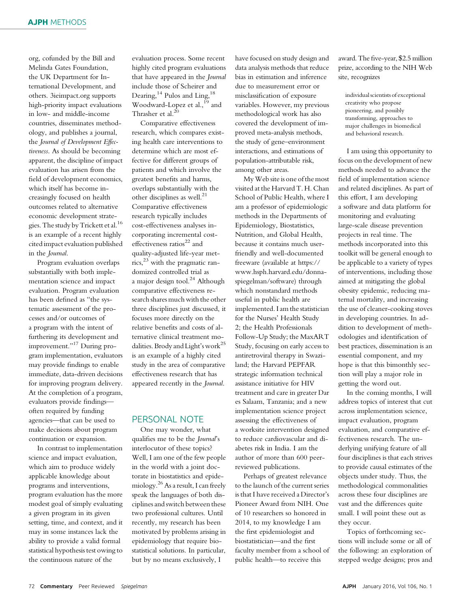[org](http://3ieimpact.org), cofunded by the Bill and Melinda Gates Foundation, the UK Department for International Development, and others. [3ieimpact.org](http://3ieimpact.org) supports high-priority impact evaluations in low- and middle-income countries, disseminates methodology, and publishes a journal, the Journal of Development Effectiveness. As should be becoming apparent, the discipline of impact evaluation has arisen from the field of development economics, which itself has become increasingly focused on health outcomes related to alternative economic development strategies. The study by Trickett et al.<sup>16</sup> is an example of a recent highly cited impact evaluation published in the Journal.

Program evaluation overlaps substantially with both implementation science and impact evaluation. Program evaluation has been defined as "the systematic assessment of the processes and/or outcomes of a program with the intent of furthering its development and improvement."<sup>17</sup> During program implementation, evaluators may provide findings to enable immediate, data-driven decisions for improving program delivery. At the completion of a program, evaluators provide findings often required by funding agencies—that can be used to make decisions about program continuation or expansion.

In contrast to implementation science and impact evaluation, which aim to produce widely applicable knowledge about programs and interventions, program evaluation has the more modest goal of simply evaluating a given program in its given setting, time, and context, and it may in some instances lack the ability to provide a valid formal statistical hypothesis test owing to the continuous nature of the

evaluation process. Some recent highly cited program evaluations that have appeared in the Journal include those of Scheirer and Dearing,  $14$  Pulos and Ling,  $18$ Woodward-Lopez et al.,<sup>19</sup> and Thrasher et al. $^{20}$ 

Comparative effectiveness research, which compares existing health care interventions to determine which are most effective for different groups of patients and which involve the greatest benefits and harms, overlaps substantially with the other disciplines as well. $^{21}$ Comparative effectiveness research typically includes cost-effectiveness analyses incorporating incremental costeffectiveness ratios $^{22}$  and quality-adjusted life-year metrics,<sup>23</sup> with the pragmatic randomized controlled trial as a major design tool.<sup>24</sup> Although comparative effectiveness research shares much with the other three disciplines just discussed, it focuses more directly on the relative benefits and costs of alternative clinical treatment modalities. Brody and Light's work<sup>25</sup> is an example of a highly cited study in the area of comparative effectiveness research that has appeared recently in the Journal.

### PERSONAL NOTE

One may wonder, what qualifies me to be the Journal's interlocutor of these topics? Well, I am one of the few people in the world with a joint doctorate in biostatistics and epidemiology.26As a result, I can freely speak the languages of both disciplines and switch between these two professional cultures. Until recently, my research has been motivated by problems arising in epidemiology that require biostatistical solutions. In particular, but by no means exclusively, I

have focused on study design and data analysis methods that reduce bias in estimation and inference due to measurement error or misclassification of exposure variables. However, my previous methodological work has also covered the development of improved meta-analysis methods, the study of gene–environment interactions, and estimations of population-attributable risk, among other areas.

MyWeb site is one of the most visited at the Harvard T. H. Chan School of Public Health, where I am a professor of epidemiologic methods in the Departments of Epidemiology, Biostatistics, Nutrition, and Global Health, because it contains much userfriendly and well-documented freeware (available at [https://](https://www.hsph.harvard.edu/donna-spiegelman/software) [www.hsph.harvard.edu/donna](https://www.hsph.harvard.edu/donna-spiegelman/software)[spiegelman/software](https://www.hsph.harvard.edu/donna-spiegelman/software)) through which nonstandard methods useful in public health are implemented. I am the statistician for the Nurses' Health Study 2; the Health Professionals Follow-Up Study; the MaxART Study, focusing on early access to antiretroviral therapy in Swaziland; the Harvard PEPFAR strategic information technical assistance initiative for HIV treatment and care in greater Dar es Salaam, Tanzania; and a new implementation science project assessing the effectiveness of a worksite intervention designed to reduce cardiovascular and diabetes risk in India. I am the author of more than 600 peerreviewed publications.

Perhaps of greatest relevance to the launch of the current series is that I have received a Director's Pioneer Award from NIH. One of 10 researchers so honored in 2014, to my knowledge I am the first epidemiologist and biostatistician—and the first faculty member from a school of public health—to receive this

award. The five-year, \$2.5 million prize, according to the NIH Web site, recognizes

individual scientists of exceptional creativity who propose pioneering, and possibly transforming, approaches to major challenges in biomedical and behavioral research.

I am using this opportunity to focus on the development of new methods needed to advance the field of implementation science and related disciplines. As part of this effort, I am developing a software and data platform for monitoring and evaluating large-scale disease prevention projects in real time. The methods incorporated into this toolkit will be general enough to be applicable to a variety of types of interventions, including those aimed at mitigating the global obesity epidemic, reducing maternal mortality, and increasing the use of cleaner-cooking stoves in developing countries. In addition to development of methodologies and identification of best practices, dissemination is an essential component, and my hope is that this bimonthly section will play a major role in getting the word out.

In the coming months, I will address topics of interest that cut across implementation science, impact evaluation, program evaluation, and comparative effectiveness research. The underlying unifying feature of all four disciplines is that each strives to provide causal estimates of the objects under study. Thus, the methodological commonalities across these four disciplines are vast and the differences quite small. I will point these out as they occur.

Topics of forthcoming sections will include some or all of the following: an exploration of stepped wedge designs; pros and